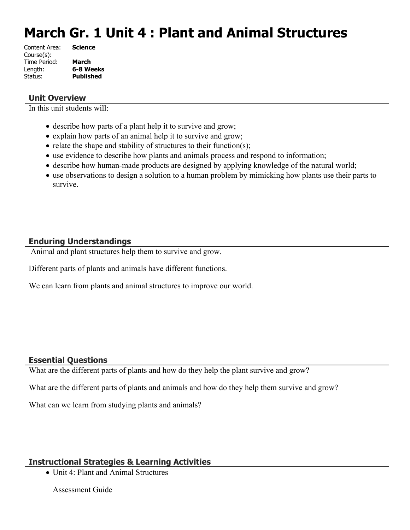# **March Gr. 1 Unit 4 : Plant and Animal Structures**

| Content Area: | <b>Science</b>   |
|---------------|------------------|
| Course(s):    |                  |
| Time Period:  | March            |
| Length:       | 6-8 Weeks        |
| Status:       | <b>Published</b> |
|               |                  |

## **Unit Overview**

In this unit students will:

- describe how parts of a plant help it to survive and grow;
- explain how parts of an animal help it to survive and grow;
- relate the shape and stability of structures to their function(s);
- use evidence to describe how plants and animals process and respond to information;
- describe how human-made products are designed by applying knowledge of the natural world;
- use observations to design a solution to a human problem by mimicking how plants use their parts to survive.

## **Enduring Understandings**

Animal and plant structures help them to survive and grow.

Different parts of plants and animals have different functions.

We can learn from plants and animal structures to improve our world.

## **Essential Questions**

What are the different parts of plants and how do they help the plant survive and grow?

What are the different parts of plants and animals and how do they help them survive and grow?

What can we learn from studying plants and animals?

## **Instructional Strategies & Learning Activities**

• Unit 4: Plant and Animal Structures

Assessment Guide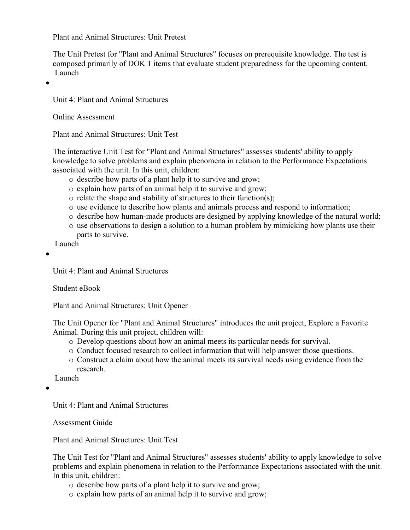Plant and Animal Structures: Unit Pretest

The Unit Pretest for "Plant and Animal Structures" focuses on prerequisite knowledge. The test is composed primarily of DOK 1 items that evaluate student preparedness for the upcoming content. Launch

 $\bullet$ 

Unit 4: Plant and Animal Structures

Online Assessment

Plant and Animal Structures: Unit Test

The interactive Unit Test for "Plant and Animal Structures" assesses students' ability to apply knowledge to solve problems and explain phenomena in relation to the Performance Expectations associated with the unit. In this unit, children:

- o describe how parts of a plant help it to survive and grow;
- o explain how parts of an animal help it to survive and grow;
- o relate the shape and stability of structures to their function(s);
- o use evidence to describe how plants and animals process and respond to information;
- o describe how human-made products are designed by applying knowledge of the natural world;
- o use observations to design a solution to a human problem by mimicking how plants use their parts to survive.

Launch

 $\bullet$ 

Unit 4: Plant and Animal Structures

Student eBook

Plant and Animal Structures: Unit Opener

The Unit Opener for "Plant and Animal Structures" introduces the unit project, Explore a Favorite Animal. During this unit project, children will:

- o Develop questions about how an animal meets its particular needs for survival.
- o Conduct focused research to collect information that will help answer those questions.
- o Construct a claim about how the animal meets its survival needs using evidence from the research.

Launch

 $\bullet$ 

Unit 4: Plant and Animal Structures

Assessment Guide

Plant and Animal Structures: Unit Test

The Unit Test for "Plant and Animal Structures" assesses students' ability to apply knowledge to solve problems and explain phenomena in relation to the Performance Expectations associated with the unit. In this unit, children:

- o describe how parts of a plant help it to survive and grow;
- o explain how parts of an animal help it to survive and grow;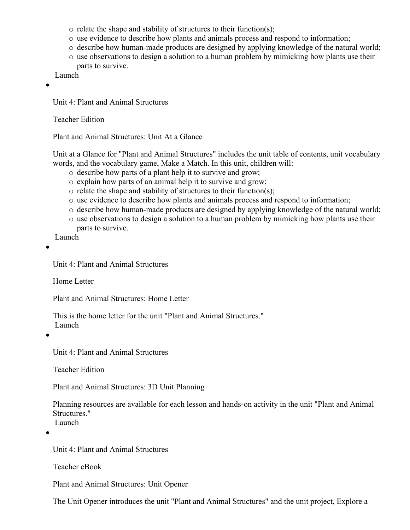- o relate the shape and stability of structures to their function(s);
- o use evidence to describe how plants and animals process and respond to information;
- o describe how human-made products are designed by applying knowledge of the natural world;
- o use observations to design a solution to a human problem by mimicking how plants use their parts to survive.

Launch

 $\bullet$ 

Unit 4: Plant and Animal Structures

Teacher Edition

Plant and Animal Structures: Unit At a Glance

Unit at a Glance for "Plant and Animal Structures" includes the unit table of contents, unit vocabulary words, and the vocabulary game, Make a Match. In this unit, children will:

- o describe how parts of a plant help it to survive and grow;
- o explain how parts of an animal help it to survive and grow;
- o relate the shape and stability of structures to their function(s);
- o use evidence to describe how plants and animals process and respond to information;
- o describe how human-made products are designed by applying knowledge of the natural world;
- o use observations to design a solution to a human problem by mimicking how plants use their parts to survive.

Launch

 $\bullet$ 

Unit 4: Plant and Animal Structures

Home Letter

Plant and Animal Structures: Home Letter

This is the home letter for the unit "Plant and Animal Structures." Launch

 $\bullet$ 

Unit 4: Plant and Animal Structures

Teacher Edition

Plant and Animal Structures: 3D Unit Planning

Planning resources are available for each lesson and hands-on activity in the unit "Plant and Animal Structures."

Launch

 $\bullet$ 

Unit 4: Plant and Animal Structures

Teacher eBook

Plant and Animal Structures: Unit Opener

The Unit Opener introduces the unit "Plant and Animal Structures" and the unit project, Explore a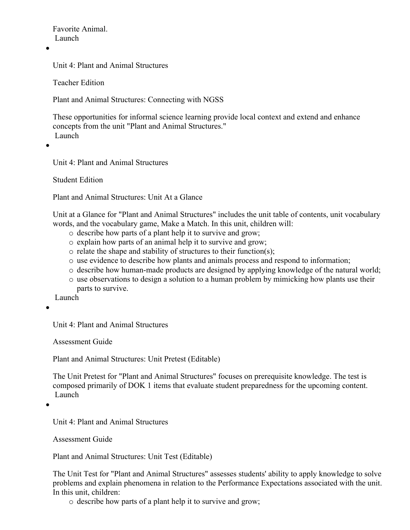Favorite Animal. Launch

 $\bullet$ 

Unit 4: Plant and Animal Structures

Teacher Edition

Plant and Animal Structures: Connecting with NGSS

These opportunities for informal science learning provide local context and extend and enhance concepts from the unit "Plant and Animal Structures." Launch

 $\bullet$ 

Unit 4: Plant and Animal Structures

Student Edition

Plant and Animal Structures: Unit At a Glance

Unit at a Glance for "Plant and Animal Structures" includes the unit table of contents, unit vocabulary words, and the vocabulary game, Make a Match. In this unit, children will:

- o describe how parts of a plant help it to survive and grow;
- o explain how parts of an animal help it to survive and grow;
- $\circ$  relate the shape and stability of structures to their function(s);
- o use evidence to describe how plants and animals process and respond to information;
- o describe how human-made products are designed by applying knowledge of the natural world;
- $\circ$  use observations to design a solution to a human problem by mimicking how plants use their parts to survive.

Launch

 $\bullet$ 

Unit 4: Plant and Animal Structures

Assessment Guide

Plant and Animal Structures: Unit Pretest (Editable)

The Unit Pretest for "Plant and Animal Structures" focuses on prerequisite knowledge. The test is composed primarily of DOK 1 items that evaluate student preparedness for the upcoming content. Launch

 $\bullet$ 

Unit 4: Plant and Animal Structures

Assessment Guide

Plant and Animal Structures: Unit Test (Editable)

The Unit Test for "Plant and Animal Structures" assesses students' ability to apply knowledge to solve problems and explain phenomena in relation to the Performance Expectations associated with the unit. In this unit, children:

o describe how parts of a plant help it to survive and grow;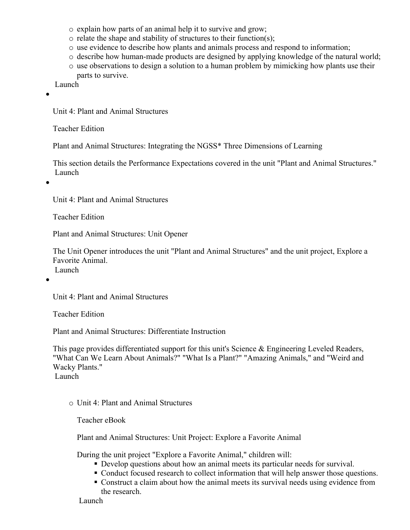- o explain how parts of an animal help it to survive and grow;
- o relate the shape and stability of structures to their function(s);
- o use evidence to describe how plants and animals process and respond to information;
- o describe how human-made products are designed by applying knowledge of the natural world;
- o use observations to design a solution to a human problem by mimicking how plants use their parts to survive.

Launch

 $\bullet$ 

Unit 4: Plant and Animal Structures

Teacher Edition

Plant and Animal Structures: Integrating the NGSS\* Three Dimensions of Learning

This section details the Performance Expectations covered in the unit "Plant and Animal Structures." Launch

 $\bullet$ 

Unit 4: Plant and Animal Structures

Teacher Edition

Plant and Animal Structures: Unit Opener

The Unit Opener introduces the unit "Plant and Animal Structures" and the unit project, Explore a Favorite Animal. Launch

 $\bullet$ 

Unit 4: Plant and Animal Structures

Teacher Edition

Plant and Animal Structures: Differentiate Instruction

This page provides differentiated support for this unit's Science & Engineering Leveled Readers, "What Can We Learn About Animals?" "What Is a Plant?" "Amazing Animals," and "Weird and Wacky Plants."

Launch

o Unit 4: Plant and Animal Structures

Teacher eBook

Plant and Animal Structures: Unit Project: Explore a Favorite Animal

During the unit project "Explore a Favorite Animal," children will:

- Develop questions about how an animal meets its particular needs for survival.
- Conduct focused research to collect information that will help answer those questions.
- Construct a claim about how the animal meets its survival needs using evidence from the research.

Launch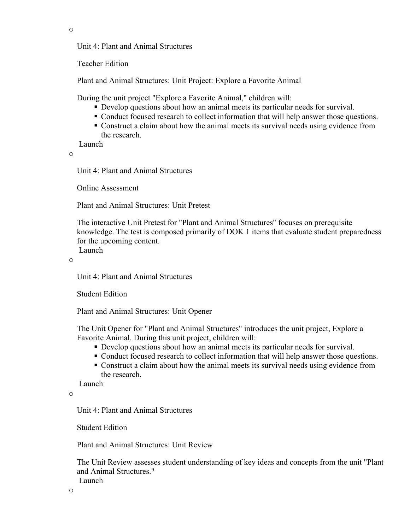o

Unit 4: Plant and Animal Structures

Teacher Edition

Plant and Animal Structures: Unit Project: Explore a Favorite Animal

During the unit project "Explore a Favorite Animal," children will:

- Develop questions about how an animal meets its particular needs for survival.
- Conduct focused research to collect information that will help answer those questions.
- Construct a claim about how the animal meets its survival needs using evidence from the research.

Launch

o

Unit 4: Plant and Animal Structures

Online Assessment

Plant and Animal Structures: Unit Pretest

The interactive Unit Pretest for "Plant and Animal Structures" focuses on prerequisite knowledge. The test is composed primarily of DOK 1 items that evaluate student preparedness for the upcoming content. Launch

o

Unit 4: Plant and Animal Structures

Student Edition

Plant and Animal Structures: Unit Opener

The Unit Opener for "Plant and Animal Structures" introduces the unit project, Explore a Favorite Animal. During this unit project, children will:

- Develop questions about how an animal meets its particular needs for survival.
- Conduct focused research to collect information that will help answer those questions.
- Construct a claim about how the animal meets its survival needs using evidence from the research.

Launch

o

Unit 4: Plant and Animal Structures

Student Edition

Plant and Animal Structures: Unit Review

The Unit Review assesses student understanding of key ideas and concepts from the unit "Plant and Animal Structures."

Launch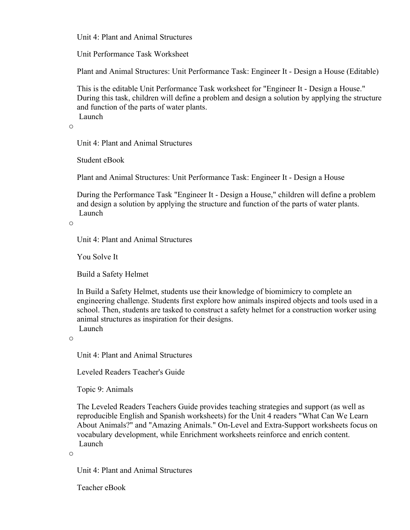Unit 4: Plant and Animal Structures

Unit Performance Task Worksheet

Plant and Animal Structures: Unit Performance Task: Engineer It - Design a House (Editable)

This is the editable Unit Performance Task worksheet for "Engineer It - Design a House." During this task, children will define a problem and design a solution by applying the structure and function of the parts of water plants. Launch

o

Unit 4: Plant and Animal Structures

Student eBook

Plant and Animal Structures: Unit Performance Task: Engineer It - Design a House

During the Performance Task "Engineer It - Design a House," children will define a problem and design a solution by applying the structure and function of the parts of water plants. Launch

o

Unit 4: Plant and Animal Structures

You Solve It

Build a Safety Helmet

In Build a Safety Helmet, students use their knowledge of biomimicry to complete an engineering challenge. Students first explore how animals inspired objects and tools used in a school. Then, students are tasked to construct a safety helmet for a construction worker using animal structures as inspiration for their designs. Launch

o

Unit 4: Plant and Animal Structures

Leveled Readers Teacher's Guide

Topic 9: Animals

The Leveled Readers Teachers Guide provides teaching strategies and support (as well as reproducible English and Spanish worksheets) for the Unit 4 readers "What Can We Learn About Animals?" and "Amazing Animals." On-Level and Extra-Support worksheets focus on vocabulary development, while Enrichment worksheets reinforce and enrich content. Launch

o

Unit 4: Plant and Animal Structures

Teacher eBook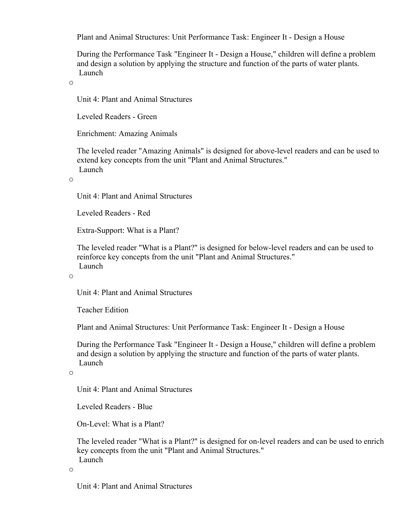Plant and Animal Structures: Unit Performance Task: Engineer It - Design a House

During the Performance Task "Engineer It - Design a House," children will define a problem and design a solution by applying the structure and function of the parts of water plants. Launch

o

Unit 4: Plant and Animal Structures

Leveled Readers - Green

Enrichment: Amazing Animals

The leveled reader "Amazing Animals" is designed for above-level readers and can be used to extend key concepts from the unit "Plant and Animal Structures." Launch

o

Unit 4: Plant and Animal Structures

Leveled Readers - Red

Extra-Support: What is a Plant?

The leveled reader "What is a Plant?" is designed for below-level readers and can be used to reinforce key concepts from the unit "Plant and Animal Structures." Launch

o

Unit 4: Plant and Animal Structures

Teacher Edition

Plant and Animal Structures: Unit Performance Task: Engineer It - Design a House

During the Performance Task "Engineer It - Design a House," children will define a problem and design a solution by applying the structure and function of the parts of water plants. Launch

o

Unit 4: Plant and Animal Structures

Leveled Readers - Blue

On-Level: What is a Plant?

The leveled reader "What is a Plant?" is designed for on-level readers and can be used to enrich key concepts from the unit "Plant and Animal Structures." Launch

o

Unit 4: Plant and Animal Structures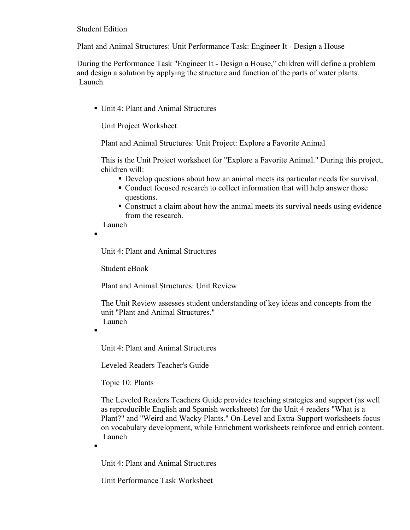Student Edition

Plant and Animal Structures: Unit Performance Task: Engineer It - Design a House

During the Performance Task "Engineer It - Design a House," children will define a problem and design a solution by applying the structure and function of the parts of water plants. Launch

■ Unit 4: Plant and Animal Structures

Unit Project Worksheet

Plant and Animal Structures: Unit Project: Explore a Favorite Animal

This is the Unit Project worksheet for "Explore a Favorite Animal." During this project, children will:

- Develop questions about how an animal meets its particular needs for survival.
- Conduct focused research to collect information that will help answer those questions.
- Construct a claim about how the animal meets its survival needs using evidence from the research.

Launch

Unit 4: Plant and Animal Structures

Student eBook

Plant and Animal Structures: Unit Review

The Unit Review assesses student understanding of key ideas and concepts from the unit "Plant and Animal Structures." Launch

.

.

.

Unit 4: Plant and Animal Structures

Leveled Readers Teacher's Guide

Topic 10: Plants

The Leveled Readers Teachers Guide provides teaching strategies and support (as well as reproducible English and Spanish worksheets) for the Unit 4 readers "What is a Plant?" and "Weird and Wacky Plants." On-Level and Extra-Support worksheets focus on vocabulary development, while Enrichment worksheets reinforce and enrich content. Launch

Unit 4: Plant and Animal Structures

Unit Performance Task Worksheet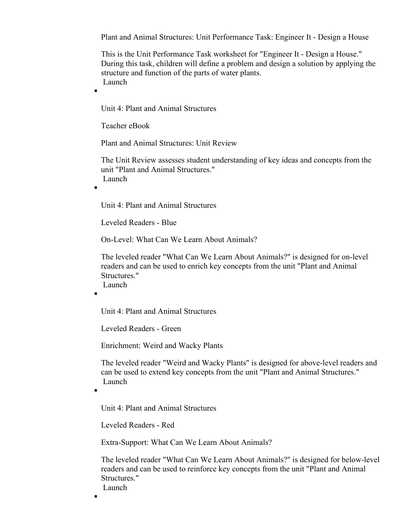Plant and Animal Structures: Unit Performance Task: Engineer It - Design a House

This is the Unit Performance Task worksheet for "Engineer It - Design a House." During this task, children will define a problem and design a solution by applying the structure and function of the parts of water plants. Launch

Unit 4: Plant and Animal Structures

Teacher eBook

Plant and Animal Structures: Unit Review

The Unit Review assesses student understanding of key ideas and concepts from the unit "Plant and Animal Structures." Launch

.

 $\blacksquare$ 

Unit 4: Plant and Animal Structures

Leveled Readers - Blue

On-Level: What Can We Learn About Animals?

The leveled reader "What Can We Learn About Animals?" is designed for on-level readers and can be used to enrich key concepts from the unit "Plant and Animal Structures." Launch

 $\blacksquare$ 

Unit 4: Plant and Animal Structures

Leveled Readers - Green

Enrichment: Weird and Wacky Plants

The leveled reader "Weird and Wacky Plants" is designed for above-level readers and can be used to extend key concepts from the unit "Plant and Animal Structures." Launch

.

Unit 4: Plant and Animal Structures

Leveled Readers - Red

Extra-Support: What Can We Learn About Animals?

The leveled reader "What Can We Learn About Animals?" is designed for below-level readers and can be used to reinforce key concepts from the unit "Plant and Animal Structures." Launch

 $\blacksquare$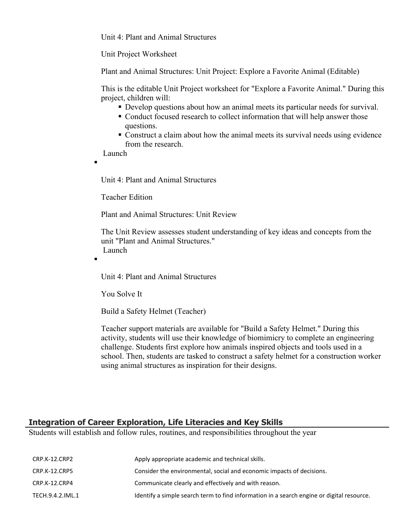Unit 4: Plant and Animal Structures

Unit Project Worksheet

Plant and Animal Structures: Unit Project: Explore a Favorite Animal (Editable)

This is the editable Unit Project worksheet for "Explore a Favorite Animal." During this project, children will:

- Develop questions about how an animal meets its particular needs for survival.
- Conduct focused research to collect information that will help answer those questions.
- Construct a claim about how the animal meets its survival needs using evidence from the research.

Launch

 $\blacksquare$ 

.

Unit 4: Plant and Animal Structures

Teacher Edition

Plant and Animal Structures: Unit Review

The Unit Review assesses student understanding of key ideas and concepts from the unit "Plant and Animal Structures." Launch

Unit 4: Plant and Animal Structures

You Solve It

Build a Safety Helmet (Teacher)

Teacher support materials are available for "Build a Safety Helmet." During this activity, students will use their knowledge of biomimicry to complete an engineering challenge. Students first explore how animals inspired objects and tools used in a school. Then, students are tasked to construct a safety helmet for a construction worker using animal structures as inspiration for their designs.

## **Integration of Career Exploration, Life Literacies and Key Skills**

Students will establish and follow rules, routines, and responsibilities throughout the year

| CRP.K-12.CRP2    | Apply appropriate academic and technical skills.                                          |
|------------------|-------------------------------------------------------------------------------------------|
| CRP.K-12.CRP5    | Consider the environmental, social and economic impacts of decisions.                     |
| CRP.K-12.CRP4    | Communicate clearly and effectively and with reason.                                      |
| TECH.9.4.2.IML.1 | Identify a simple search term to find information in a search engine or digital resource. |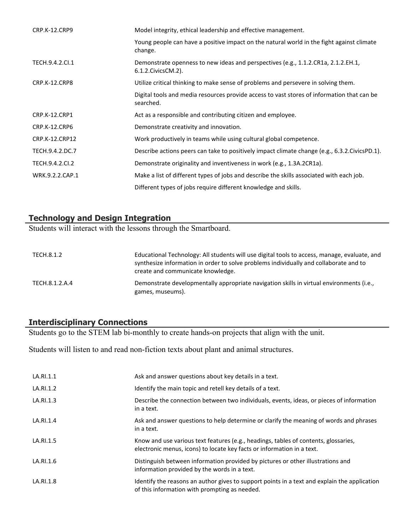| <b>CRP.K-12.CRP9</b> | Model integrity, ethical leadership and effective management.                                              |
|----------------------|------------------------------------------------------------------------------------------------------------|
|                      | Young people can have a positive impact on the natural world in the fight against climate<br>change.       |
| TECH.9.4.2.Cl.1      | Demonstrate openness to new ideas and perspectives (e.g., 1.1.2.CR1a, 2.1.2.EH.1,<br>6.1.2. Civics CM. 2). |
| CRP.K-12.CRP8        | Utilize critical thinking to make sense of problems and persevere in solving them.                         |
|                      | Digital tools and media resources provide access to vast stores of information that can be<br>searched.    |
| <b>CRP.K-12.CRP1</b> | Act as a responsible and contributing citizen and employee.                                                |
| CRP.K-12.CRP6        | Demonstrate creativity and innovation.                                                                     |
| CRP.K-12.CRP12       | Work productively in teams while using cultural global competence.                                         |
| TECH.9.4.2.DC.7      | Describe actions peers can take to positively impact climate change (e.g., 6.3.2.CivicsPD.1).              |
| TECH.9.4.2.CI.2      | Demonstrate originality and inventiveness in work (e.g., 1.3A.2CR1a).                                      |
| WRK.9.2.2.CAP.1      | Make a list of different types of jobs and describe the skills associated with each job.                   |
|                      | Different types of jobs require different knowledge and skills.                                            |

## **Technology and Design Integration**

Students will interact with the lessons through the Smartboard.

| TECH.8.1.2     | Educational Technology: All students will use digital tools to access, manage, evaluate, and<br>synthesize information in order to solve problems individually and collaborate and to<br>create and communicate knowledge. |
|----------------|----------------------------------------------------------------------------------------------------------------------------------------------------------------------------------------------------------------------------|
| TECH.8.1.2.A.4 | Demonstrate developmentally appropriate navigation skills in virtual environments (i.e.,<br>games, museums).                                                                                                               |

# **Interdisciplinary Connections**

Students go to the STEM lab bi-monthly to create hands-on projects that align with the unit.

Students will listen to and read non-fiction texts about plant and animal structures.

| LA.RI.1.1 | Ask and answer questions about key details in a text.                                                                                                         |
|-----------|---------------------------------------------------------------------------------------------------------------------------------------------------------------|
| LA.RI.1.2 | Identify the main topic and retell key details of a text.                                                                                                     |
| LA.RI.1.3 | Describe the connection between two individuals, events, ideas, or pieces of information<br>in a text.                                                        |
| LA.RI.1.4 | Ask and answer questions to help determine or clarify the meaning of words and phrases<br>in a text.                                                          |
| LA.RI.1.5 | Know and use various text features (e.g., headings, tables of contents, glossaries,<br>electronic menus, icons) to locate key facts or information in a text. |
| LA.RI.1.6 | Distinguish between information provided by pictures or other illustrations and<br>information provided by the words in a text.                               |
| LA.RI.1.8 | Identify the reasons an author gives to support points in a text and explain the application<br>of this information with prompting as needed.                 |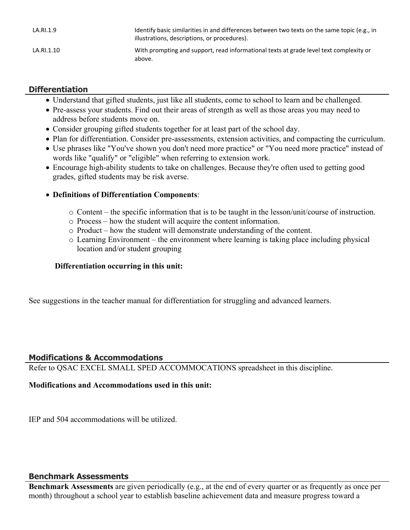| LA.RI.1.9  | Identify basic similarities in and differences between two texts on the same topic (e.g., in<br>illustrations, descriptions, or procedures). |
|------------|----------------------------------------------------------------------------------------------------------------------------------------------|
| LA.RI.1.10 | With prompting and support, read informational texts at grade level text complexity or<br>above.                                             |

# **Differentiation**

- Understand that gifted students, just like all students, come to school to learn and be challenged.
- Pre-assess your students. Find out their areas of strength as well as those areas you may need to address before students move on.
- Consider grouping gifted students together for at least part of the school day.
- Plan for differentiation. Consider pre-assessments, extension activities, and compacting the curriculum.
- Use phrases like "You've shown you don't need more practice" or "You need more practice" instead of words like "qualify" or "eligible" when referring to extension work.
- Encourage high-ability students to take on challenges. Because they're often used to getting good grades, gifted students may be risk averse.

# **Definitions of Differentiation Components**:

- o Content the specific information that is to be taught in the lesson/unit/course of instruction.
- o Process how the student will acquire the content information.
- o Product how the student will demonstrate understanding of the content.
- o Learning Environment the environment where learning is taking place including physical location and/or student grouping

## **Differentiation occurring in this unit:**

See suggestions in the teacher manual for differentiation for struggling and advanced learners.

# **Modifications & Accommodations**

Refer to QSAC EXCEL SMALL SPED ACCOMMOCATIONS spreadsheet in this discipline.

# **Modifications and Accommodations used in this unit:**

IEP and 504 accommodations will be utilized.

## **Benchmark Assessments**

**Benchmark Assessments** are given periodically (e.g., at the end of every quarter or as frequently as once per month) throughout a school year to establish baseline achievement data and measure progress toward a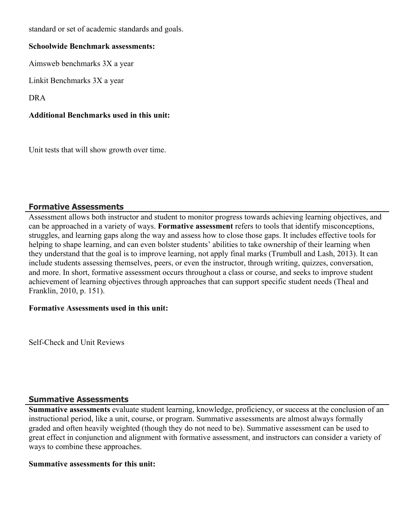standard or set of academic standards and goals.

#### **Schoolwide Benchmark assessments:**

Aimsweb benchmarks 3X a year

Linkit Benchmarks 3X a year

DRA

## **Additional Benchmarks used in this unit:**

Unit tests that will show growth over time.

## **Formative Assessments**

Assessment allows both instructor and student to monitor progress towards achieving learning objectives, and can be approached in a variety of ways. **Formative assessment** refers to tools that identify misconceptions, struggles, and learning gaps along the way and assess how to close those gaps. It includes effective tools for helping to shape learning, and can even bolster students' abilities to take ownership of their learning when they understand that the goal is to improve learning, not apply final marks (Trumbull and Lash, 2013). It can include students assessing themselves, peers, or even the instructor, through writing, quizzes, conversation, and more. In short, formative assessment occurs throughout a class or course, and seeks to improve student achievement of learning objectives through approaches that can support specific student needs (Theal and Franklin, 2010, p. 151).

## **Formative Assessments used in this unit:**

Self-Check and Unit Reviews

## **Summative Assessments**

**Summative assessments** evaluate student learning, knowledge, proficiency, or success at the conclusion of an instructional period, like a unit, course, or program. Summative assessments are almost always formally graded and often heavily weighted (though they do not need to be). Summative assessment can be used to great effect in conjunction and alignment with formative assessment, and instructors can consider a variety of ways to combine these approaches.

#### **Summative assessments for this unit:**